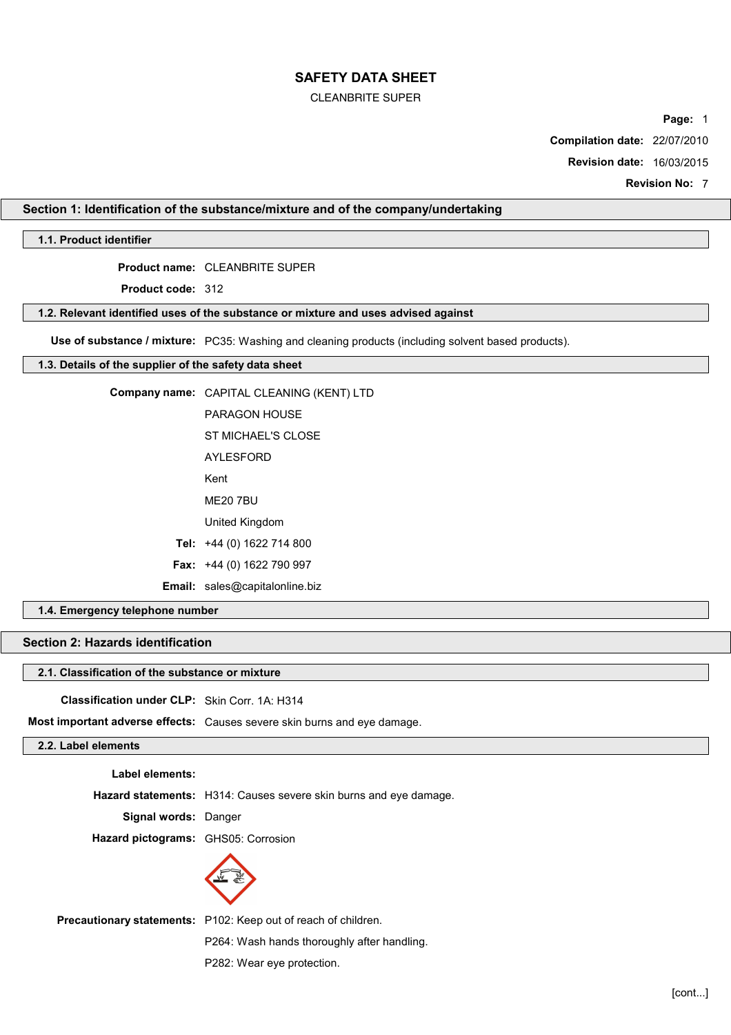# CLEANBRITE SUPER

**Page:** 1

**Compilation date:** 22/07/2010

**Revision date:** 16/03/2015

**Revision No:** 7

# **Section 1: Identification of the substance/mixture and of the company/undertaking**

# **1.1. Product identifier**

**Product name:** CLEANBRITE SUPER

**Product code:** 312

## **1.2. Relevant identified uses of the substance or mixture and uses advised against**

**Use of substance / mixture:** PC35: Washing and cleaning products (including solvent based products).

# **1.3. Details of the supplier of the safety data sheet**

|                    | Company name: CAPITAL CLEANING (KENT) LTD |
|--------------------|-------------------------------------------|
|                    | PARAGON HOUSE                             |
|                    | ST MICHAEL'S CLOSE                        |
|                    | <b>AYLESFORD</b>                          |
|                    | Kent                                      |
|                    | <b>ME20 7BU</b>                           |
|                    | United Kingdom                            |
|                    | Tel: +44 (0) 1622 714 800                 |
|                    | <b>Fax:</b> $+44$ (0) 1622 790 997        |
|                    | <b>Email:</b> sales@capitalonline.biz     |
| w talanhana numhar |                                           |

# **1.4. Emergency telephone number**

# **Section 2: Hazards identification**

# **2.1. Classification of the substance or mixture**

**Classification under CLP:** Skin Corr. 1A: H314

**Most important adverse effects:** Causes severe skin burns and eye damage.

# **2.2. Label elements**

**Label elements:**

**Hazard statements:** H314: Causes severe skin burns and eye damage.

**Signal words:** Danger

**Hazard pictograms:** GHS05: Corrosion



**Precautionary statements:** P102: Keep out of reach of children.

P264: Wash hands thoroughly after handling.

P282: Wear eye protection.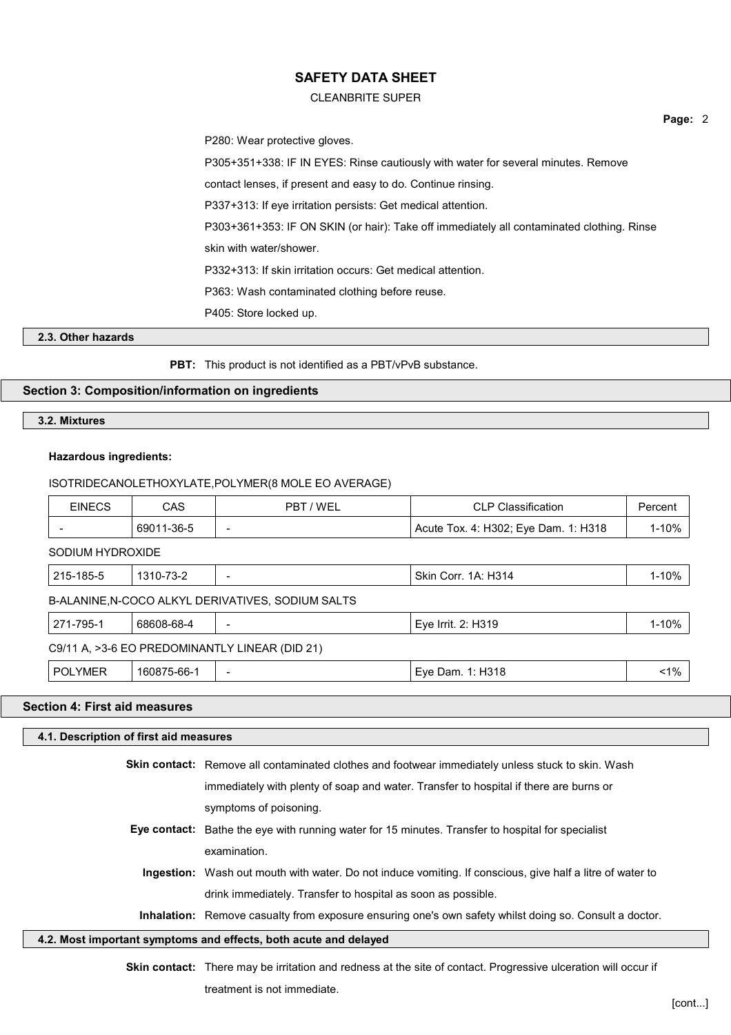#### CLEANBRITE SUPER

P280: Wear protective gloves.

P305+351+338: IF IN EYES: Rinse cautiously with water for several minutes. Remove

contact lenses, if present and easy to do. Continue rinsing.

P337+313: If eye irritation persists: Get medical attention.

P303+361+353: IF ON SKIN (or hair): Take off immediately all contaminated clothing. Rinse

skin with water/shower.

P332+313: If skin irritation occurs: Get medical attention.

P363: Wash contaminated clothing before reuse.

P405: Store locked up.

## **2.3. Other hazards**

**PBT:** This product is not identified as a PBT/vPvB substance.

# **Section 3: Composition/information on ingredients**

#### **3.2. Mixtures**

## **Hazardous ingredients:**

#### ISOTRIDECANOLETHOXYLATE,POLYMER(8 MOLE EO AVERAGE)

| <b>EINECS</b>                                  | CAS         | PBT / WEL                                         | <b>CLP Classification</b>            | Percent   |  |
|------------------------------------------------|-------------|---------------------------------------------------|--------------------------------------|-----------|--|
|                                                | 69011-36-5  |                                                   | Acute Tox. 4: H302; Eye Dam. 1: H318 | 1-10%     |  |
| SODIUM HYDROXIDE                               |             |                                                   |                                      |           |  |
| 215-185-5                                      | 1310-73-2   |                                                   | Skin Corr. 1A: H314                  | 1-10%     |  |
|                                                |             | B-ALANINE, N-COCO ALKYL DERIVATIVES, SODIUM SALTS |                                      |           |  |
| 271-795-1                                      | 68608-68-4  |                                                   | Eye Irrit. 2: H319                   | $1 - 10%$ |  |
| C9/11 A, >3-6 EO PREDOMINANTLY LINEAR (DID 21) |             |                                                   |                                      |           |  |
| <b>POLYMER</b>                                 | 160875-66-1 | $\overline{\phantom{0}}$                          | Eye Dam. 1: H318                     | $< 1\%$   |  |

# **Section 4: First aid measures**

# **4.1. Description of first aid measures Skin contact:** Remove all contaminated clothes and footwear immediately unless stuck to skin. Wash immediately with plenty of soap and water. Transfer to hospital if there are burns or symptoms of poisoning. **Eye contact:** Bathe the eye with running water for 15 minutes. Transfer to hospital for specialist examination. **Ingestion:** Wash out mouth with water. Do not induce vomiting. If conscious, give half a litre of water to drink immediately. Transfer to hospital as soon as possible. **Inhalation:** Remove casualty from exposure ensuring one's own safety whilst doing so. Consult a doctor. **4.2. Most important symptoms and effects, both acute and delayed**

**Skin contact:** There may be irritation and redness at the site of contact. Progressive ulceration will occur if treatment is not immediate.

**Page:** 2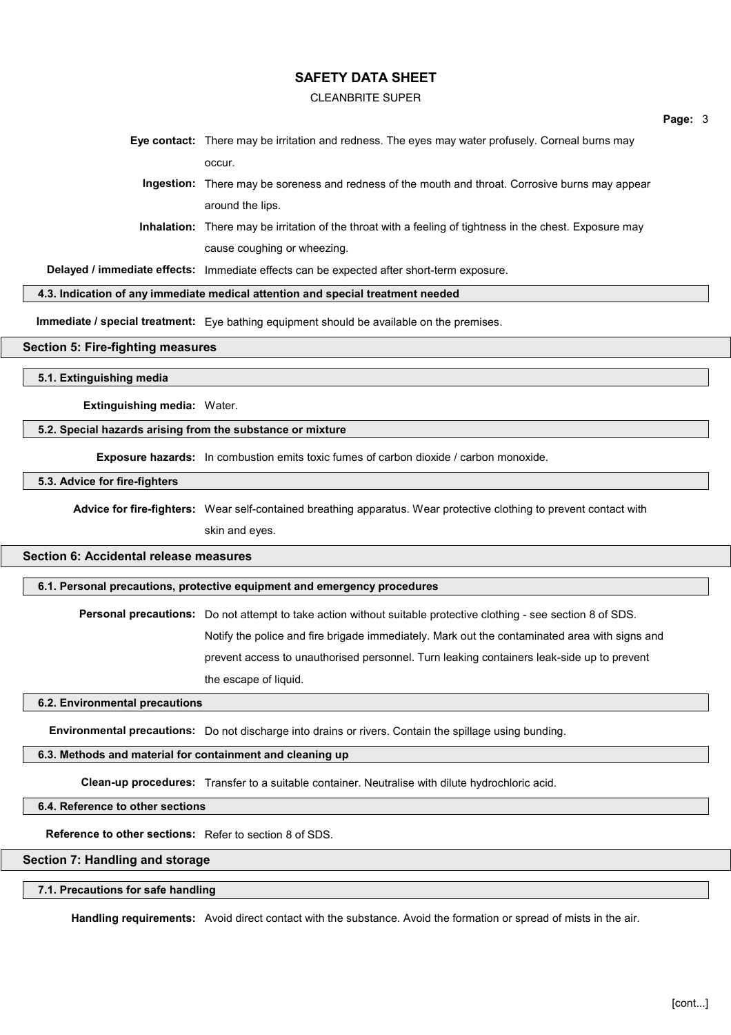#### CLEANBRITE SUPER

**Page:** 3

**Eye contact:** There may be irritation and redness. The eyes may water profusely. Corneal burns may occur.

**Ingestion:** There may be soreness and redness of the mouth and throat. Corrosive burns may appear around the lips.

**Inhalation:** There may be irritation of the throat with a feeling of tightness in the chest. Exposure may cause coughing or wheezing.

**Delayed / immediate effects:** Immediate effects can be expected after short-term exposure.

#### **4.3. Indication of any immediate medical attention and special treatment needed**

**Immediate / special treatment:** Eye bathing equipment should be available on the premises.

#### **Section 5: Fire-fighting measures**

**5.1. Extinguishing media**

**Extinguishing media:** Water.

# **5.2. Special hazards arising from the substance or mixture**

**Exposure hazards:** In combustion emits toxic fumes of carbon dioxide / carbon monoxide.

## **5.3. Advice for fire-fighters**

**Advice for fire-fighters:** Wear self-contained breathing apparatus. Wear protective clothing to prevent contact with skin and eyes.

# **Section 6: Accidental release measures**

# **6.1. Personal precautions, protective equipment and emergency procedures**

**Personal precautions:** Do not attempt to take action without suitable protective clothing - see section 8 of SDS. Notify the police and fire brigade immediately. Mark out the contaminated area with signs and prevent access to unauthorised personnel. Turn leaking containers leak-side up to prevent the escape of liquid.

#### **6.2. Environmental precautions**

**Environmental precautions:** Do not discharge into drains or rivers. Contain the spillage using bunding.

# **6.3. Methods and material for containment and cleaning up**

**Clean-up procedures:** Transfer to a suitable container. Neutralise with dilute hydrochloric acid.

**6.4. Reference to other sections**

**Reference to other sections:** Refer to section 8 of SDS.

#### **Section 7: Handling and storage**

#### **7.1. Precautions for safe handling**

**Handling requirements:** Avoid direct contact with the substance. Avoid the formation or spread of mists in the air.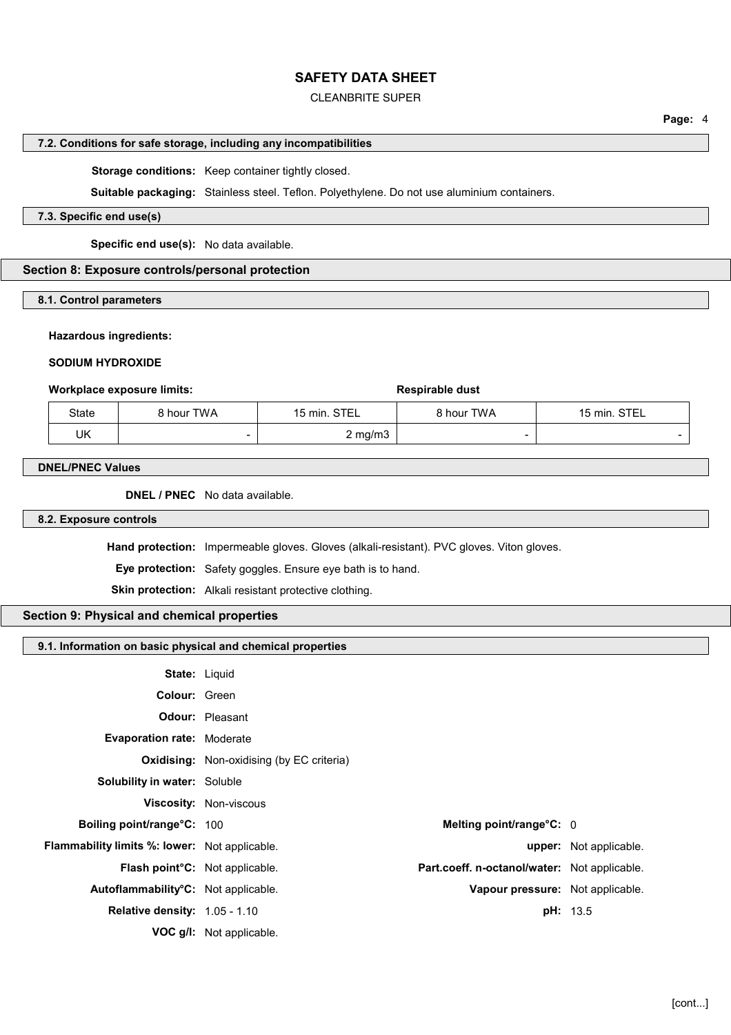# CLEANBRITE SUPER

#### **7.2. Conditions for safe storage, including any incompatibilities**

**Storage conditions:** Keep container tightly closed.

**Suitable packaging:** Stainless steel. Teflon. Polyethylene. Do not use aluminium containers.

## **7.3. Specific end use(s)**

**Specific end use(s):** No data available.

## **Section 8: Exposure controls/personal protection**

#### **8.1. Control parameters**

#### **Hazardous ingredients:**

### **SODIUM HYDROXIDE**

#### **Workplace exposure limits: Respirable dust Respirable dust**

| <b>State</b> | 8 hour TWA | 15 min. STEL     | 8 hour TWA | 15 min. STEL |
|--------------|------------|------------------|------------|--------------|
| UK           |            | $2 \text{ mg/m}$ |            |              |

#### **DNEL/PNEC Values**

**DNEL / PNEC** No data available.

## **8.2. Exposure controls**

**Hand protection:** Impermeable gloves. Gloves (alkali-resistant). PVC gloves. Viton gloves.

**Eye protection:** Safety goggles. Ensure eye bath is to hand.

**Skin protection:** Alkali resistant protective clothing.

# **Section 9: Physical and chemical properties**

| 9.1. Information on basic physical and chemical properties |                      |
|------------------------------------------------------------|----------------------|
|                                                            | <b>State: Liquid</b> |
| <b>Colour: Green</b>                                       |                      |

| <b>VUIVUI.</b> VILLI                                 |                                                  |                                              |                        |
|------------------------------------------------------|--------------------------------------------------|----------------------------------------------|------------------------|
|                                                      | <b>Odour:</b> Pleasant                           |                                              |                        |
| <b>Evaporation rate: Moderate</b>                    |                                                  |                                              |                        |
|                                                      | <b>Oxidising:</b> Non-oxidising (by EC criteria) |                                              |                        |
| <b>Solubility in water: Soluble</b>                  |                                                  |                                              |                        |
|                                                      | Viscosity: Non-viscous                           |                                              |                        |
| Boiling point/range°C: 100                           |                                                  | Melting point/range°C: 0                     |                        |
| <b>Flammability limits %: lower:</b> Not applicable. |                                                  |                                              | upper: Not applicable. |
| Flash point°C: Not applicable.                       |                                                  | Part.coeff. n-octanol/water: Not applicable. |                        |
| Autoflammability°C: Not applicable.                  |                                                  | Vapour pressure: Not applicable.             |                        |
| <b>Relative density: 1.05 - 1.10</b>                 |                                                  |                                              | <b>pH:</b> 13.5        |
|                                                      | <b>VOC g/l:</b> Not applicable.                  |                                              |                        |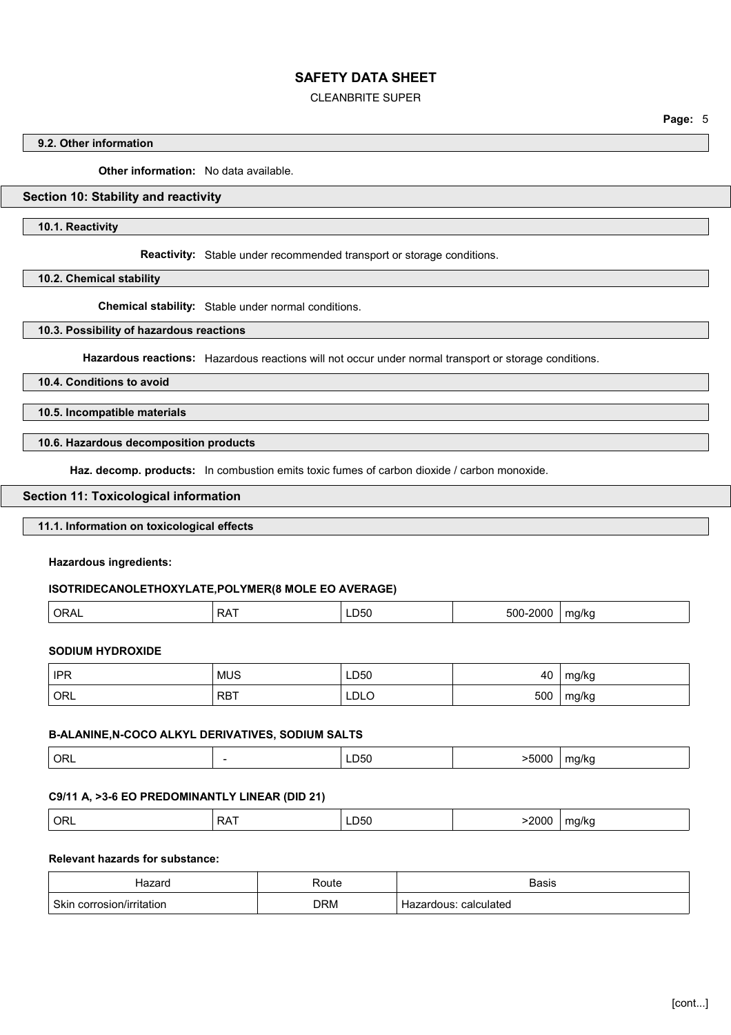## CLEANBRITE SUPER

**Page:** 5

### **9.2. Other information**

**Other information:** No data available.

# **Section 10: Stability and reactivity**

**10.1. Reactivity**

**Reactivity:** Stable under recommended transport or storage conditions.

**10.2. Chemical stability**

**Chemical stability:** Stable under normal conditions.

**10.3. Possibility of hazardous reactions**

**Hazardous reactions:** Hazardous reactions will not occur under normal transport or storage conditions.

# **10.4. Conditions to avoid**

**10.5. Incompatible materials**

# **10.6. Hazardous decomposition products**

**Haz. decomp. products:** In combustion emits toxic fumes of carbon dioxide / carbon monoxide.

#### **Section 11: Toxicological information**

### **11.1. Information on toxicological effects**

**Hazardous ingredients:**

#### **ISOTRIDECANOLETHOXYLATE,POLYMER(8 MOLE EO AVERAGE)**

| na/ka<br>-<br>,,,<br>$- - - -$<br>___<br>. .<br>. . |
|-----------------------------------------------------|
|-----------------------------------------------------|

# **SODIUM HYDROXIDE**

| <b>IPR</b> | <b>MUS</b> | LD50 | 40  | mg/kg |
|------------|------------|------|-----|-------|
| ORL        | <b>RBT</b> | LDLC | 500 | mg/kg |

# **B-ALANINE,N-COCO ALKYL DERIVATIVES, SODIUM SALTS**

| $\overline{)}$ ORL<br>>5000<br>ma/ka<br>LD <sub>20</sub><br>.<br>$\sim$ $\sim$ |  |
|--------------------------------------------------------------------------------|--|
|--------------------------------------------------------------------------------|--|

#### **C9/11 A, >3-6 EO PREDOMINANTLY LINEAR (DID 21)**

|--|

#### **Relevant hazards for substance:**

|                  | 'oute | יורחנ      |
|------------------|-------|------------|
| Skir<br>ritation | DRM   | calculated |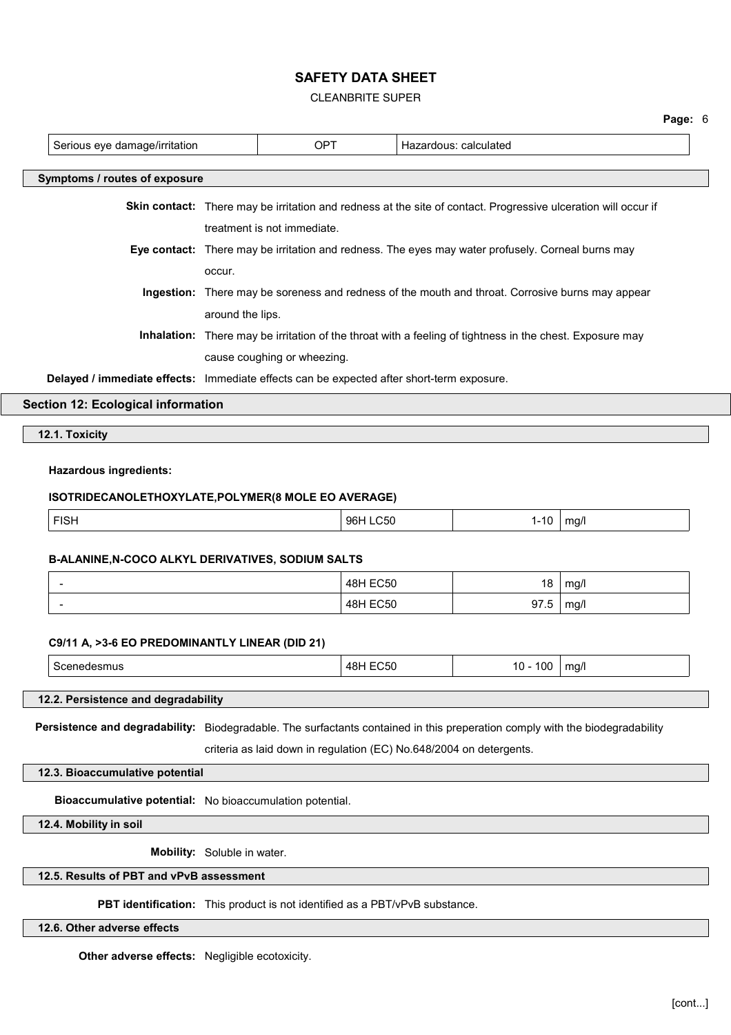CLEANBRITE SUPER

|                                                                                           |                  |                             |                                                                                                                |          | Page: 6 |
|-------------------------------------------------------------------------------------------|------------------|-----------------------------|----------------------------------------------------------------------------------------------------------------|----------|---------|
| Serious eye damage/irritation                                                             |                  | <b>OPT</b>                  | Hazardous: calculated                                                                                          |          |         |
| Symptoms / routes of exposure                                                             |                  |                             |                                                                                                                |          |         |
|                                                                                           |                  |                             | Skin contact: There may be irritation and redness at the site of contact. Progressive ulceration will occur if |          |         |
|                                                                                           |                  | treatment is not immediate. |                                                                                                                |          |         |
|                                                                                           |                  |                             | Eye contact: There may be irritation and redness. The eyes may water profusely. Corneal burns may              |          |         |
|                                                                                           | occur.           |                             |                                                                                                                |          |         |
|                                                                                           |                  |                             | Ingestion: There may be soreness and redness of the mouth and throat. Corrosive burns may appear               |          |         |
|                                                                                           | around the lips. |                             |                                                                                                                |          |         |
|                                                                                           |                  |                             | Inhalation: There may be irritation of the throat with a feeling of tightness in the chest. Exposure may       |          |         |
|                                                                                           |                  | cause coughing or wheezing. |                                                                                                                |          |         |
| Delayed / immediate effects: Immediate effects can be expected after short-term exposure. |                  |                             |                                                                                                                |          |         |
| <b>Section 12: Ecological information</b>                                                 |                  |                             |                                                                                                                |          |         |
|                                                                                           |                  |                             |                                                                                                                |          |         |
| 12.1. Toxicity                                                                            |                  |                             |                                                                                                                |          |         |
| <b>Hazardous ingredients:</b>                                                             |                  |                             |                                                                                                                |          |         |
| ISOTRIDECANOLETHOXYLATE, POLYMER(8 MOLE EO AVERAGE)                                       |                  |                             |                                                                                                                |          |         |
| <b>FISH</b>                                                                               |                  |                             | 96H LC50                                                                                                       |          |         |
|                                                                                           |                  |                             |                                                                                                                | $1 - 10$ | mg/l    |
| B-ALANINE, N-COCO ALKYL DERIVATIVES, SODIUM SALTS                                         |                  |                             |                                                                                                                |          |         |
| $\overline{\phantom{a}}$                                                                  |                  |                             | <b>48H EC50</b>                                                                                                | 18       | mg/l    |
|                                                                                           |                  |                             | <b>48H EC50</b>                                                                                                | 97.5     | mg/l    |

# **C9/11 A, >3-6 EO PREDOMINANTLY LINEAR (DID 21)**

| $\sim$ | 00<br><b>∪</b><br>$\cdot$ $\cdot$ | .<br>$-1$<br>na/<br>. . |
|--------|-----------------------------------|-------------------------|
|--------|-----------------------------------|-------------------------|

# **12.2. Persistence and degradability**

**Persistence and degradability:** Biodegradable. The surfactants contained in this preperation comply with the biodegradability

criteria as laid down in regulation (EC) No.648/2004 on detergents.

**12.3. Bioaccumulative potential**

**Bioaccumulative potential:** No bioaccumulation potential.

**12.4. Mobility in soil**

**Mobility:** Soluble in water.

#### **12.5. Results of PBT and vPvB assessment**

**PBT identification:** This product is not identified as a PBT/vPvB substance.

# **12.6. Other adverse effects**

**Other adverse effects:** Negligible ecotoxicity.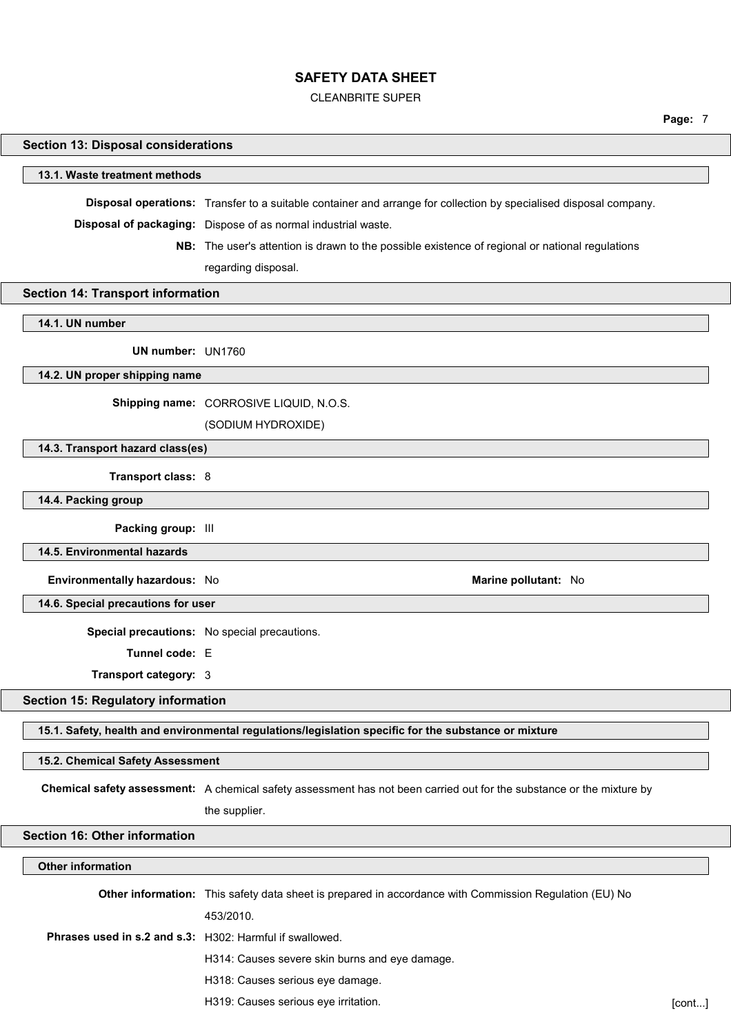#### CLEANBRITE SUPER

**Page:** 7

# **Section 13: Disposal considerations**

#### **13.1. Waste treatment methods**

**Disposal operations:** Transfer to a suitable container and arrange for collection by specialised disposal company.

**Disposal of packaging:** Dispose of as normal industrial waste.

**NB:** The user's attention is drawn to the possible existence of regional or national regulations

regarding disposal.

#### **Section 14: Transport information**

**14.1. UN number**

**UN number:** UN1760

**14.2. UN proper shipping name**

**Shipping name:** CORROSIVE LIQUID, N.O.S.

(SODIUM HYDROXIDE)

**14.3. Transport hazard class(es)**

**Transport class:** 8

**14.4. Packing group**

**Packing group:** III

**14.5. Environmental hazards**

**Environmentally hazardous:** No **Marine pollutant:** No

**14.6. Special precautions for user**

**Special precautions:** No special precautions.

**Tunnel code:** E

**Transport category:** 3

#### **Section 15: Regulatory information**

**15.1. Safety, health and environmental regulations/legislation specific for the substance or mixture**

#### **15.2. Chemical Safety Assessment**

**Chemical safety assessment:** A chemical safety assessment has not been carried out for the substance or the mixture by

the supplier.

**Section 16: Other information**

#### **Other information**

**Other information:** This safety data sheet is prepared in accordance with Commission Regulation (EU) No 453/2010. **Phrases used in s.2 and s.3:** H302: Harmful if swallowed. H314: Causes severe skin burns and eye damage. H318: Causes serious eye damage.

H319: Causes serious eye irritation. **Example 2018** Cont...] **[cont...]** [cont...]